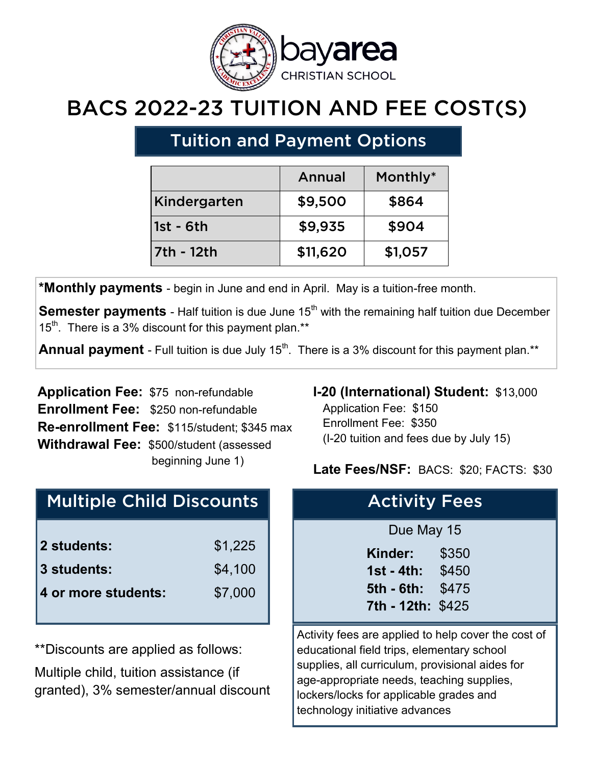

# BACS 2022-23 TUITION AND FEE COST(S)

## Tuition and Payment Options

|              | Annual   | Monthly* |
|--------------|----------|----------|
| Kindergarten | \$9,500  | \$864    |
| 1st - 6th    | \$9,935  | \$904    |
| 7th - 12th   | \$11,620 | \$1,057  |

**\*Monthly payments** - begin in June and end in April. May is a tuition-free month.

**Semester payments** - Half tuition is due June 15<sup>th</sup> with the remaining half tuition due December  $15<sup>th</sup>$ . There is a 3% discount for this payment plan.\*\*

**Annual payment** - Full tuition is due July 15<sup>th</sup>. There is a 3% discount for this payment plan.\*\*

**Application Fee:** \$75 non-refundable **Enrollment Fee:** \$250 non-refundable **Re-enrollment Fee:** \$115/student; \$345 max **Withdrawal Fee:** \$500/student (assessed beginning June 1)

### Multiple Child Discounts

| \$1,225 |
|---------|
| \$4,100 |
| \$7,000 |
|         |

\*\*Discounts are applied as follows:

Multiple child, tuition assistance (if granted), 3% semester/annual discount

#### **I-20 (International) Student:** \$13,000

 Application Fee: \$150 Enrollment Fee: \$350 (I-20 tuition and fees due by July 15)

#### **Late Fees/NSF:** BACS: \$20; FACTS: \$30

| <b>Activity Fees</b> |            |
|----------------------|------------|
| Due May 15           |            |
| Kinder: I            | \$350      |
| 1st - 4th: $$450$    |            |
| 5th - 6th:           | \$475      |
| 7th - 12th: \$425    |            |
| .                    | - -<br>. . |

Activity fees are applied to help cover the cost of educational field trips, elementary school supplies, all curriculum, provisional aides for age-appropriate needs, teaching supplies, lockers/locks for applicable grades and technology initiative advances